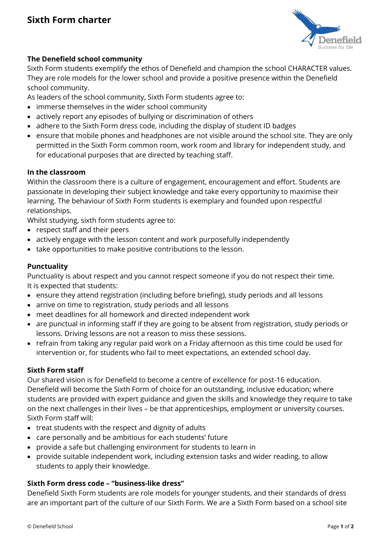

# **The Denefield school community**

Sixth Form students exemplify the ethos of Denefield and champion the school CHARACTER values. They are role models for the lower school and provide a positive presence within the Denefield school community.

As leaders of the school community, Sixth Form students agree to:

- immerse themselves in the wider school community
- actively report any episodes of bullying or discrimination of others
- adhere to the Sixth Form dress code, including the display of student ID badges
- ensure that mobile phones and headphones are not visible around the school site. They are only permitted in the Sixth Form common room, work room and library for independent study, and for educational purposes that are directed by teaching staff.

## **In the classroom**

Within the classroom there is a culture of engagement, encouragement and effort. Students are passionate in developing their subject knowledge and take every opportunity to maximise their learning. The behaviour of Sixth Form students is exemplary and founded upon respectful relationships.

Whilst studying, sixth form students agree to:

- respect staff and their peers
- actively engage with the lesson content and work purposefully independently
- take opportunities to make positive contributions to the lesson.

## **Punctuality**

Punctuality is about respect and you cannot respect someone if you do not respect their time. It is expected that students:

- ensure they attend registration (including before briefing), study periods and all lessons
- arrive on time to registration, study periods and all lessons
- meet deadlines for all homework and directed independent work
- are punctual in informing staff if they are going to be absent from registration, study periods or lessons. Driving lessons are not a reason to miss these sessions.
- refrain from taking any regular paid work on a Friday afternoon as this time could be used for intervention or, for students who fail to meet expectations, an extended school day.

## **Sixth Form staff**

Our shared vision is for Denefield to become a centre of excellence for post-16 education. Denefield will become the Sixth Form of choice for an outstanding, inclusive education; where students are provided with expert guidance and given the skills and knowledge they require to take on the next challenges in their lives – be that apprenticeships, employment or university courses. Sixth Form staff will:

- treat students with the respect and dignity of adults
- care personally and be ambitious for each students' future
- provide a safe but challenging environment for students to learn in
- provide suitable independent work, including extension tasks and wider reading, to allow students to apply their knowledge.

## **Sixth Form dress code – "business-like dress"**

Denefield Sixth Form students are role models for younger students, and their standards of dress are an important part of the culture of our Sixth Form. We are a Sixth Form based on a school site